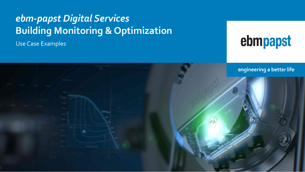# *ebm-papst Digital Services* **Building Monitoring & Optimization**

Use Case Examples

# ebmpapst



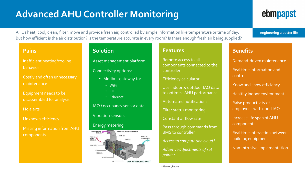# **Advanced AHU Controller Monitoring**

# ebmpapst

engineering a better life

AHUs heat, cool, clean, filter, move and provide fresh air, controlled by simple information like temperature or time of day. But how efficient is the air distribution? Is the temperature accurate in every room? Is there enough fresh air being supplied?

#### **Pains**

Inefficient heating/cooling behavior

Costly and often unnecessary maintenance

Equipment needs to be disassembled for analysis

No alerts

Unknown efficiency

Missing information from AHU components

### **Solution**

Asset management platform

Connectivity options:

- Modbus gateway to:
	- WiFi
	- LTE
	- Ethernet

IAQ / occupancy sensor data Vibration sensors

#### Energy metering



### **Features**

Remote access to all components connected to the controller

Efficiency calculator

Use indoor & outdoor IAQ data to optimize AHU performance

Automated notifications

Filter status monitoring

Constant airflow rate

Pass through commands from BMS to controller

*Access to computation cloud\**

*Adaptive adjustments of set points\**

**Benefits**

Demand-driven maintenance Real time information and control

Know and show efficiency

Healthy indoor environment

Raise productivity of employees with good IAQ

Increase life span of AHU components

Real time interaction between building equipment

Non-intrusive implementation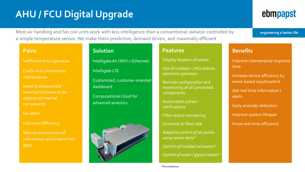# **AHU / FCU Digital Upgrade**

Most air handling and fan coil units work with less intelligence than a conventional radiator controlled by a simple temperature sensor. We make them predictive, demand driven, and maximally efficient

#### **Pains**

Inefficient AHU operation

Costly and unnecessary maintenance

Need to disassemble external hardware to do analysis of internal components

No alerts

#### Unknown efficiency

Manual transmission of information and orders from BMS

## Intelligate Air (WiFi v Ethernet) Intelligate LTE Customized, customer-oriented dashboard

**Solution**

Computational cloud for advanced analytics



#### **Features**

Display location of assets

Use of outdoor + IAQ data to optimize operation

Remote configuration and monitoring of all connected components

Automated system notifications

Filter status monitoring

Constant air flow rate

*Adaptive control of set points using sensor data\**

*Control of installed actuators\* Control of water / glycol valves\**

# ebmpapst

engineering a better life

### **Benefits**

Improve maintenance response time

Increase device efficiency by event-based input/control

Get real time information / alerts

Early anomaly detection

Improve system lifespan

Know real time efficiency